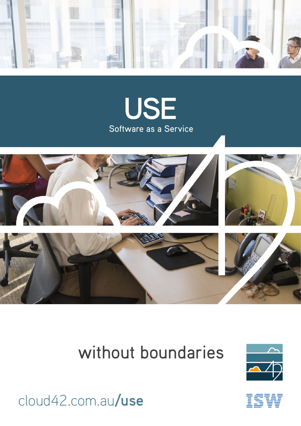

**USE** Software as a Service



## without boundaries



ISW

[cloud42.com.au](https://www.cloud42.com.au/use)**/use**